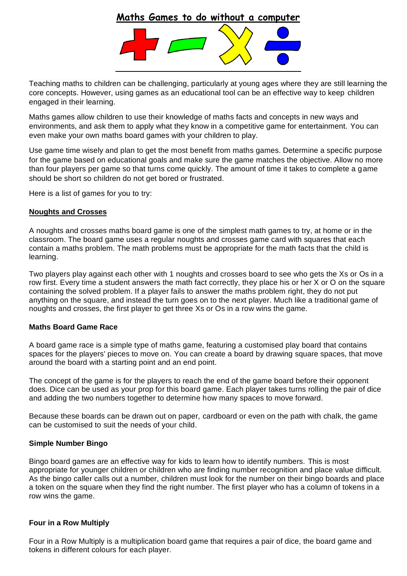# **Maths Games to do without a computer**



Teaching maths to children can be challenging, particularly at young ages where they are still learning the core concepts. However, using games as an educational tool can be an effective way to keep children engaged in their learning.

Maths games allow children to use their knowledge of maths facts and concepts in new ways and environments, and ask them to apply what they know in a competitive game for entertainment. You can even make your own maths board games with your children to play.

Use game time wisely and plan to get the most benefit from maths games. Determine a specific purpose for the game based on educational goals and make sure the game matches the objective. Allow no more than four players per game so that turns come quickly. The amount of time it takes to complete a game should be short so children do not get bored or frustrated.

Here is a list of games for you to try:

#### **Noughts and Crosses**

A noughts and crosses maths board game is one of the simplest math games to try, at home or in the classroom. The board game uses a regular noughts and crosses game card with squares that each contain a maths problem. The math problems must be appropriate for the math facts that the child is learning.

Two players play against each other with 1 noughts and crosses board to see who gets the Xs or Os in a row first. Every time a student answers the math fact correctly, they place his or her X or O on the square containing the solved problem. If a player fails to answer the maths problem right, they do not put anything on the square, and instead the turn goes on to the next player. Much like a traditional game of noughts and crosses, the first player to get three Xs or Os in a row wins the game.

## **Maths Board Game Race**

A board game race is a simple type of maths game, featuring a customised play board that contains spaces for the players' pieces to move on. You can create a board by drawing square spaces, that move around the board with a starting point and an end point.

The concept of the game is for the players to reach the end of the game board before their opponent does. Dice can be used as your prop for this board game. Each player takes turns rolling the pair of dice and adding the two numbers together to determine how many spaces to move forward.

Because these boards can be drawn out on paper, cardboard or even on the path with chalk, the game can be customised to suit the needs of your child.

#### **Simple Number Bingo**

Bingo board games are an effective way for kids to learn how to identify numbers. This is most appropriate for younger children or children who are finding number recognition and place value difficult. As the bingo caller calls out a number, children must look for the number on their bingo boards and place a token on the square when they find the right number. The first player who has a column of tokens in a row wins the game.

#### **Four in a Row Multiply**

Four in a Row Multiply is a multiplication board game that requires a pair of dice, the board game and tokens in different colours for each player.